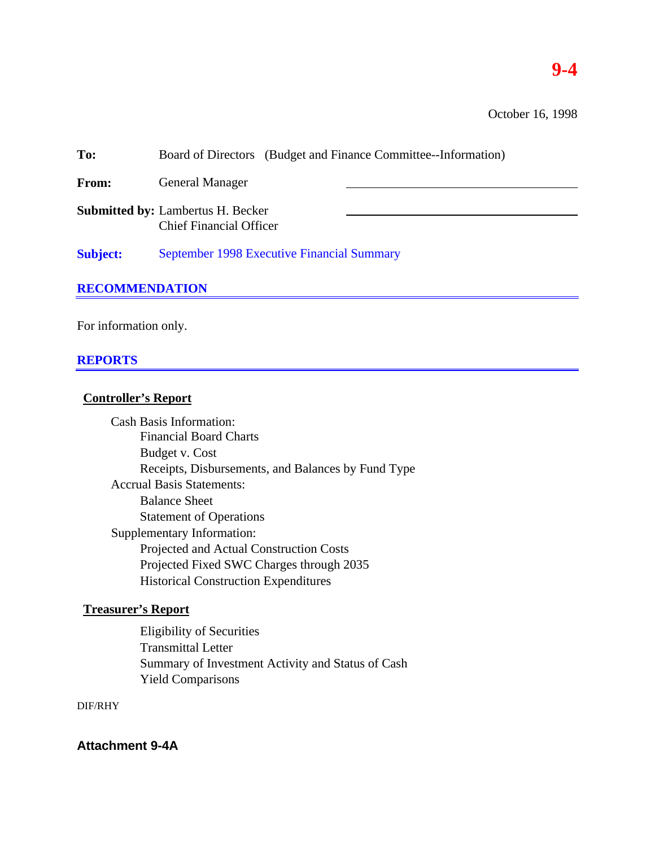# **9-4**

October 16, 1998

| To:                   | Board of Directors (Budget and Finance Committee--Information)             |  |  |  |  |  |
|-----------------------|----------------------------------------------------------------------------|--|--|--|--|--|
| From:                 | <b>General Manager</b>                                                     |  |  |  |  |  |
|                       | <b>Submitted by: Lambertus H. Becker</b><br><b>Chief Financial Officer</b> |  |  |  |  |  |
| <b>Subject:</b>       | September 1998 Executive Financial Summary                                 |  |  |  |  |  |
| <b>RECOMMENDATION</b> |                                                                            |  |  |  |  |  |

For information only.

# **REPORTS**

# **Controller's Report**

Cash Basis Information: Financial Board Charts Budget v. Cost Receipts, Disbursements, and Balances by Fund Type Accrual Basis Statements: Balance Sheet Statement of Operations Supplementary Information: Projected and Actual Construction Costs Projected Fixed SWC Charges through 2035 Historical Construction Expenditures

# **Treasurer's Report**

Eligibility of Securities Transmittal Letter Summary of Investment Activity and Status of Cash Yield Comparisons

# DIF/RHY

**Attachment 9-4A**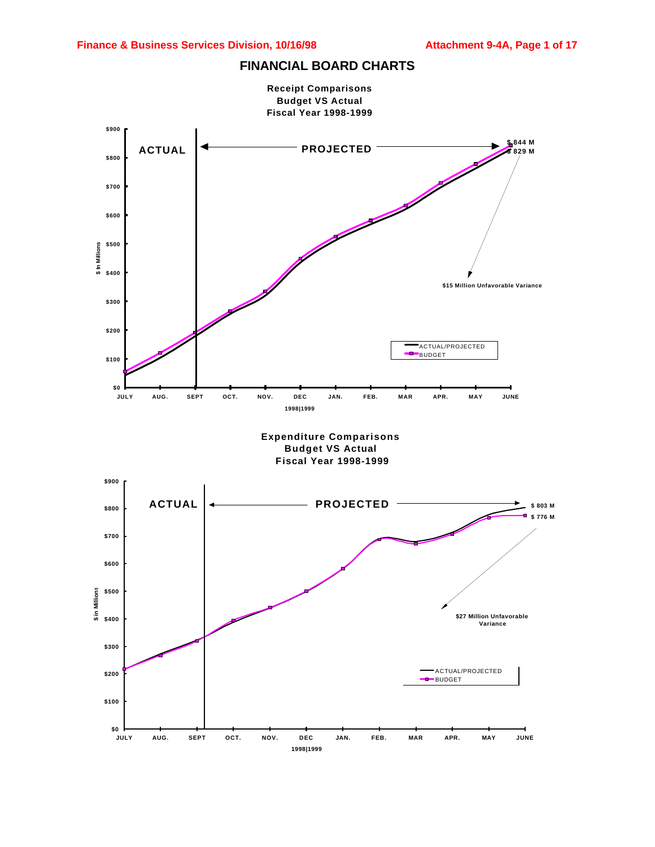

### **FINANCIAL BOARD CHARTS**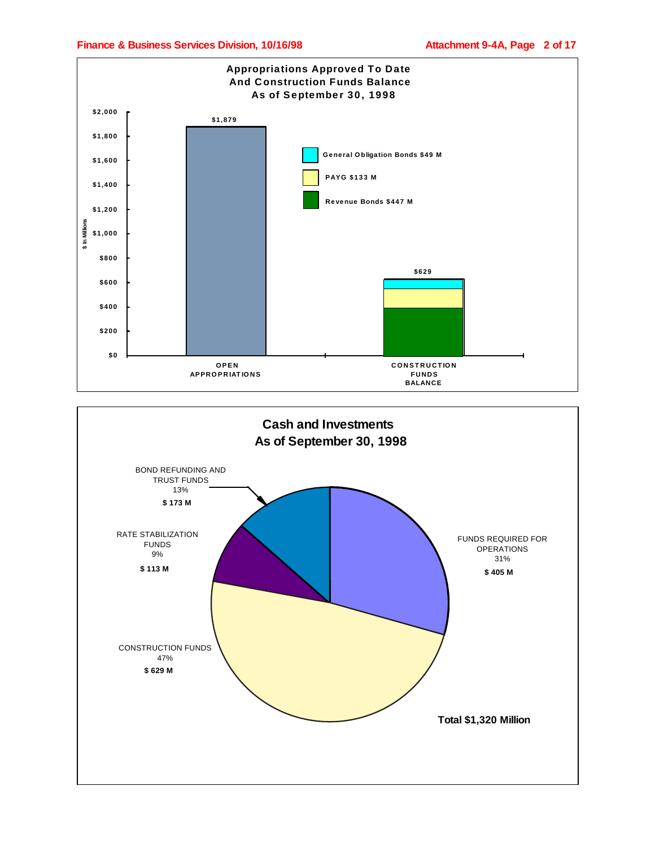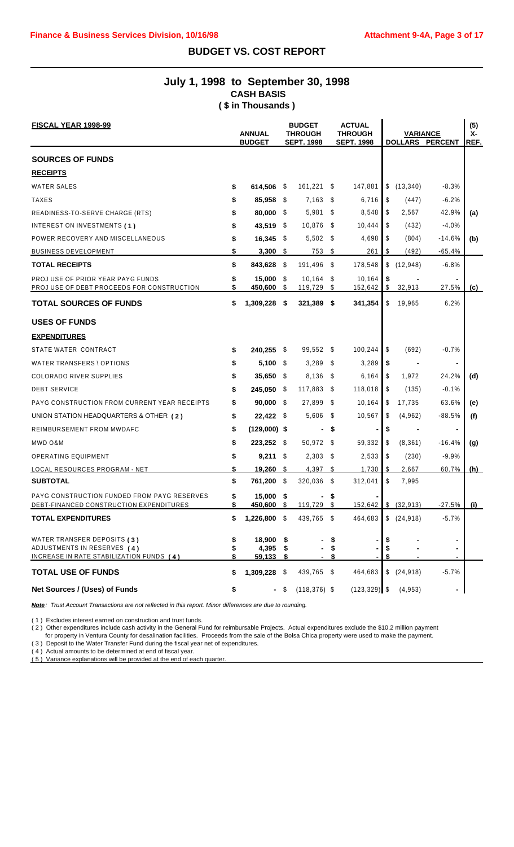# **BUDGET VS. COST REPORT**

# **July 1, 1998 to September 30, 1998 CASH BASIS ( \$ in Thousands )**

| <b>FISCAL YEAR 1998-99</b>                                                                             | <b>ANNUAL</b><br><b>BUDGET</b> |                              | <b>BUDGET</b><br><b>THROUGH</b><br><b>SEPT. 1998</b> |                        |                | <b>ACTUAL</b><br><b>THROUGH</b><br><b>SEPT. 1998</b> |                         | <b>VARIANCE</b> | <b>DOLLARS PERCENT</b> | (5)<br>х-<br>REF. |
|--------------------------------------------------------------------------------------------------------|--------------------------------|------------------------------|------------------------------------------------------|------------------------|----------------|------------------------------------------------------|-------------------------|-----------------|------------------------|-------------------|
| <b>SOURCES OF FUNDS</b>                                                                                |                                |                              |                                                      |                        |                |                                                      |                         |                 |                        |                   |
| <b>RECEIPTS</b>                                                                                        |                                |                              |                                                      |                        |                |                                                      |                         |                 |                        |                   |
| <b>WATER SALES</b>                                                                                     | \$                             | 614,506 \$                   |                                                      | $161,221$ \$           |                | 147,881                                              | \$                      | (13, 340)       | $-8.3%$                |                   |
| <b>TAXES</b>                                                                                           | \$                             | 85,958 \$                    |                                                      | 7,163                  | - \$           | 6,716                                                | \$                      | (447)           | $-6.2%$                |                   |
| READINESS-TO-SERVE CHARGE (RTS)                                                                        | \$                             | 80,000 \$                    |                                                      | 5,981                  | - \$           | 8,548                                                | \$                      | 2,567           | 42.9%                  | (a)               |
| INTEREST ON INVESTMENTS (1)                                                                            | \$                             | 43,519                       | - \$                                                 | 10,876                 | - \$           | 10,444                                               | \$                      | (432)           | $-4.0%$                |                   |
| POWER RECOVERY AND MISCELLANEOUS                                                                       | \$                             | $16,345$ \$                  |                                                      | $5,502$ \$             |                | 4,698                                                | S                       | (804)           | -14.6%                 | (b)               |
| <b>BUSINESS DEVELOPMENT</b>                                                                            | \$                             | 3,300                        | - \$                                                 | 753                    | - \$           | 261                                                  | \$                      | (492)           | $-65.4%$               |                   |
| <b>TOTAL RECEIPTS</b>                                                                                  | \$                             | 843,628                      | - \$                                                 | 191,496                | - \$           | 178,548                                              | \$                      | (12, 948)       | $-6.8%$                |                   |
| PROJ USE OF PRIOR YEAR PAYG FUNDS<br>PROJ USE OF DEBT PROCEEDS FOR CONSTRUCTION                        | \$<br>\$                       | 15,000<br>450,600            | - \$<br>\$                                           | $10,164$ \$<br>119,729 | \$             | 10,164<br>152,642                                    | \$<br>\$                | 32,913          | 27.5%                  | (c)               |
| <b>TOTAL SOURCES OF FUNDS</b>                                                                          | \$                             | 1,309,228                    | - \$                                                 | 321,389 \$             |                | 341,354                                              | \$                      | 19,965          | 6.2%                   |                   |
| <b>USES OF FUNDS</b>                                                                                   |                                |                              |                                                      |                        |                |                                                      |                         |                 |                        |                   |
| <b>EXPENDITURES</b>                                                                                    |                                |                              |                                                      |                        |                |                                                      |                         |                 |                        |                   |
| STATE WATER CONTRACT                                                                                   | S                              | 240,255 \$                   |                                                      | 99,552 \$              |                | 100,244                                              | \$                      | (692)           | $-0.7%$                |                   |
| WATER TRANSFERS \ OPTIONS                                                                              | \$                             | 5,100                        | - \$                                                 | 3,289                  | - \$           | 3,289                                                | \$                      |                 | ٠                      |                   |
| <b>COLORADO RIVER SUPPLIES</b>                                                                         | \$                             | $35,650$ \$                  |                                                      | 8,136                  | - \$           | 6,164                                                | \$                      | 1,972           | 24.2%                  | (d)               |
| <b>DEBT SERVICE</b>                                                                                    | S                              | 245,050 \$                   |                                                      | 117,883                | - \$           | 118,018                                              | S.                      | (135)           | $-0.1%$                |                   |
| PAYG CONSTRUCTION FROM CURRENT YEAR RECEIPTS                                                           | \$                             | $90,000$ \$                  |                                                      | 27,899                 | - \$           | 10,164                                               | \$                      | 17,735          | 63.6%                  | (e)               |
| UNION STATION HEADQUARTERS & OTHER (2)                                                                 | \$                             | $22,422$ \$                  |                                                      | 5,606                  | - \$           | 10,567                                               | \$                      | (4,962)         | $-88.5%$               | (f)               |
| REIMBURSEMENT FROM MWDAFC                                                                              | \$                             | $(129,000)$ \$               |                                                      |                        | - \$           |                                                      | \$                      |                 | ۰                      |                   |
| MWD O&M                                                                                                | \$                             | 223.252 \$                   |                                                      | 50,972 \$              |                | 59,332                                               | \$                      | (8,361)         | $-16.4%$               | (g)               |
| <b>OPERATING EQUIPMENT</b>                                                                             | S                              | $9,211$ \$                   |                                                      | $2,303$ \$             |                | 2,533                                                | \$                      | (230)           | $-9.9%$                |                   |
| LOCAL RESOURCES PROGRAM - NET                                                                          | \$                             | $19,260$ \$                  |                                                      | 4,397                  | - \$           | 1,730                                                | S                       | 2,667           | 60.7%                  | (h)               |
| <b>SUBTOTAL</b>                                                                                        | \$                             | 761,200 \$                   |                                                      | 320,036 \$             |                | 312,041                                              | \$                      | 7,995           |                        |                   |
| PAYG CONSTRUCTION FUNDED FROM PAYG RESERVES<br>DEBT-FINANCED CONSTRUCTION EXPENDITURES                 | \$                             | $15,000$ \$<br>450,600       |                                                      | $119,729$ \$           |                | 152,642                                              |                         | \$ (32,913)     | $-27.5%$               | (i)               |
| <b>TOTAL EXPENDITURES</b>                                                                              | \$                             | 1,226,800 \$                 |                                                      | 439,765 \$             |                | 464,683                                              | $\sqrt[6]{\frac{1}{2}}$ | (24, 918)       | $-5.7%$                |                   |
| WATER TRANSFER DEPOSITS (3)<br>ADJUSTMENTS IN RESERVES (4)<br>INCREASE IN RATE STABILIZATION FUNDS (4) | \$<br>\$                       | 18,900 \$<br>4,395<br>59,133 | -5                                                   |                        | \$<br>\$<br>\$ |                                                      | \$<br>\$<br>\$          |                 |                        |                   |
| <b>TOTAL USE OF FUNDS</b>                                                                              | \$                             | 1,309,228 \$                 |                                                      | 439,765 \$             |                | 464,683                                              |                         | \$(24,918)      | $-5.7%$                |                   |
| Net Sources / (Uses) of Funds                                                                          | \$                             |                              | - \$                                                 | $(118, 376)$ \$        |                | $(123, 329)$ \$                                      |                         | (4, 953)        | $\blacksquare$         |                   |

*Note: Trust Account Transactions are not reflected in this report. Minor differences are due to rounding.*

( 1 ) Excludes interest earned on construction and trust funds.

( 2 ) Other expenditures include cash activity in the General Fund for reimbursable Projects. Actual expenditures exclude the \$10.2 million payment

for property in Ventura County for desalination facilities. Proceeds from the sale of the Bolsa Chica property were used to make the payment.

( 3 ) Deposit to the Water Transfer Fund during the fiscal year net of expenditures.

( 4 ) Actual amounts to be determined at end of fiscal year.

( 5 ) Variance explanations will be provided at the end of each quarter.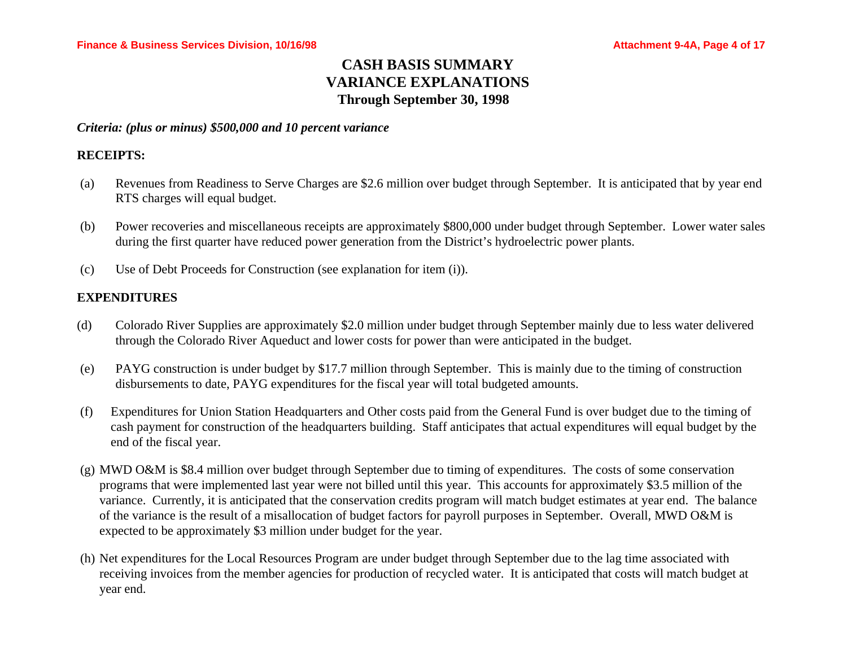# **CASH BASIS SUMMARY VARIANCE EXPLANATIONS Through September 30, 1998**

*Criteria: (plus or minus) \$500,000 and 10 percent variance*

# **RECEIPTS:**

- (a) Revenues from Readiness to Serve Charges are \$2.6 million over budget through September. It is anticipated that by year end RTS charges will equal budget.
- (b) Power recoveries and miscellaneous receipts are approximately \$800,000 under budget through September. Lower water sales during the first quarter have reduced power generation from the District's hydroelectric power plants.
- (c) Use of Debt Proceeds for Construction (see explanation for item (i)).

# **EXPENDITURES**

- (d) Colorado River Supplies are approximately \$2.0 million under budget through September mainly due to less water delivered through the Colorado River Aqueduct and lower costs for power than were anticipated in the budget.
- (e) PAYG construction is under budget by \$17.7 million through September. This is mainly due to the timing of construction disbursements to date, PAYG expenditures for the fiscal year will total budgeted amounts.
- (f) Expenditures for Union Station Headquarters and Other costs paid from the General Fund is over budget due to the timing of cash payment for construction of the headquarters building. Staff anticipates that actual expenditures will equal budget by the end of the fiscal year.
- (g) MWD O&M is \$8.4 million over budget through September due to timing of expenditures. The costs of some conservation programs that were implemented last year were not billed until this year. This accounts for approximately \$3.5 million of the variance. Currently, it is anticipated that the conservation credits program will match budget estimates at year end. The balance of the variance is the result of a misallocation of budget factors for payroll purposes in September. Overall, MWD O&M is expected to be approximately \$3 million under budget for the year.
- (h) Net expenditures for the Local Resources Program are under budget through September due to the lag time associated with receiving invoices from the member agencies for production of recycled water. It is anticipated that costs will match budget at year end.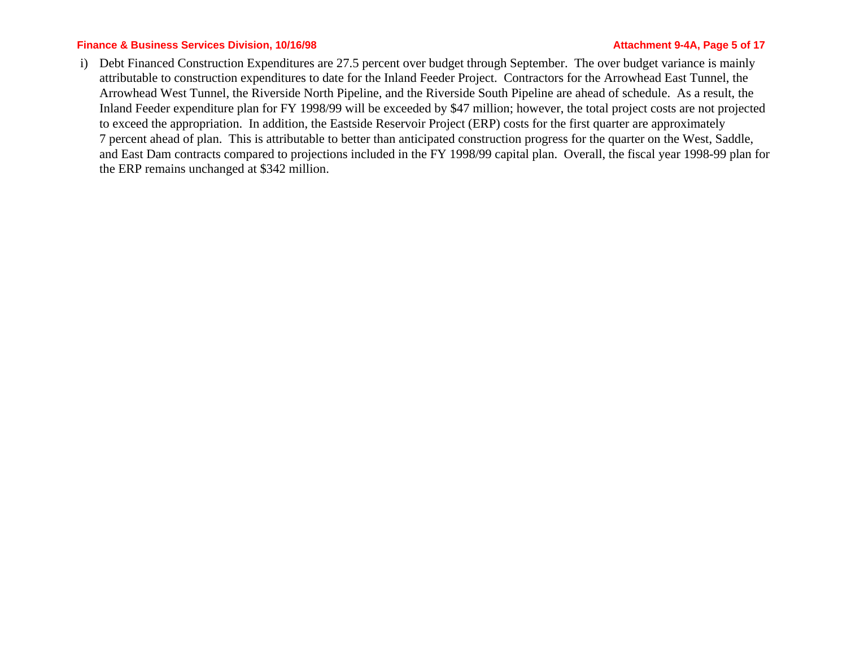### **Finance & Business Services Division, 10/16/98 Attachment 9-4A, Page 5 of 17 Attachment 9-4A, Page 5 of 17**

i) Debt Financed Construction Expenditures are 27.5 percent over budget through September. The over budget variance is mainly attributable to construction expenditures to date for the Inland Feeder Project. Contractors for the Arrowhead East Tunnel, the Arrowhead West Tunnel, the Riverside North Pipeline, and the Riverside South Pipeline are ahead of schedule. As a result, the Inland Feeder expenditure plan for FY 1998/99 will be exceeded by \$47 million; however, the total project costs are not projected to exceed the appropriation. In addition, the Eastside Reservoir Project (ERP) costs for the first quarter are approximately 7 percent ahead of plan. This is attributable to better than anticipated construction progress for the quarter on the West, Saddle, and East Dam contracts compared to projections included in the FY 1998/99 capital plan. Overall, the fiscal year 1998-99 plan for the ERP remains unchanged at \$342 million.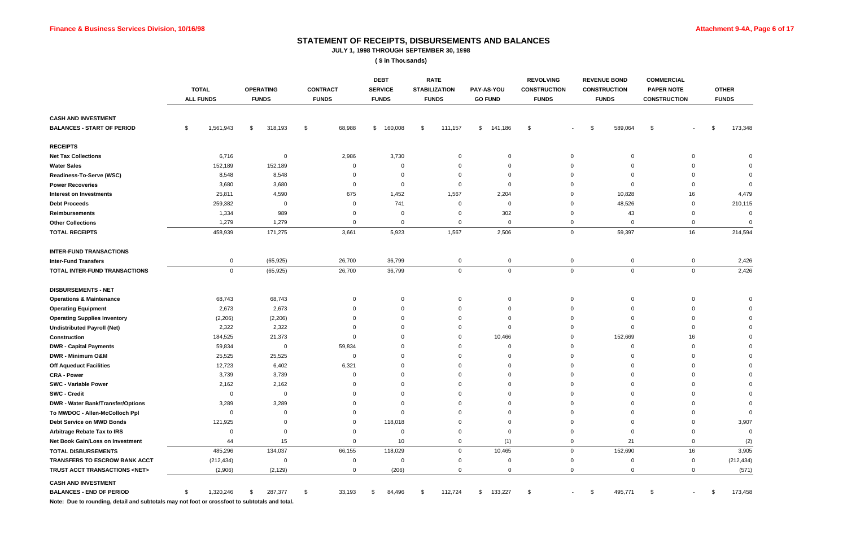# **STATEMENT OF RECEIPTS, DISBURSEMENTS AND BALANCES**

**JULY 1, 1998 THROUGH SEPTEMBER 30, 1998**

**( \$ in Thousands)**

|                                                                                                                                                              | <b>TOTAL</b><br><b>ALL FUNDS</b> | <b>OPERATING</b><br><b>FUNDS</b> | <b>CONTRACT</b><br><b>FUNDS</b> | <b>DEBT</b><br><b>SERVICE</b><br><b>FUNDS</b> | <b>RATE</b><br><b>STABILIZATION</b><br><b>FUNDS</b> | PAY-AS-YOU<br><b>GO FUND</b> | <b>REVOLVING</b><br><b>CONSTRUCTION</b><br><b>FUNDS</b> | <b>REVENUE BOND</b><br><b>CONSTRUCTION</b><br><b>FUNDS</b> | <b>COMMERCIAL</b><br><b>PAPER NOTE</b><br><b>CONSTRUCTION</b> | <b>OTHER</b><br><b>FUNDS</b> |
|--------------------------------------------------------------------------------------------------------------------------------------------------------------|----------------------------------|----------------------------------|---------------------------------|-----------------------------------------------|-----------------------------------------------------|------------------------------|---------------------------------------------------------|------------------------------------------------------------|---------------------------------------------------------------|------------------------------|
| <b>CASH AND INVESTMENT</b>                                                                                                                                   |                                  |                                  |                                 |                                               |                                                     |                              |                                                         |                                                            |                                                               |                              |
| <b>BALANCES - START OF PERIOD</b>                                                                                                                            | 1,561,943<br>\$                  | 318,193<br>\$                    | 68,988<br>\$                    | 160,008<br>\$                                 | 111,157<br>-\$                                      | 141,186<br>\$                | \$                                                      | 589,064<br>\$                                              | \$                                                            | 173,348<br>\$                |
| <b>RECEIPTS</b>                                                                                                                                              |                                  |                                  |                                 |                                               |                                                     |                              |                                                         |                                                            |                                                               |                              |
| <b>Net Tax Collections</b>                                                                                                                                   | 6,716                            | $\mathbf 0$                      | 2,986                           | 3,730                                         |                                                     | $\Omega$                     | 0                                                       | $\Omega$                                                   |                                                               |                              |
| <b>Water Sales</b>                                                                                                                                           | 152,189                          | 152,189                          |                                 | 0                                             |                                                     |                              |                                                         |                                                            |                                                               |                              |
| Readiness-To-Serve (WSC)                                                                                                                                     | 8,548                            | 8,548                            |                                 |                                               |                                                     |                              |                                                         |                                                            |                                                               |                              |
| <b>Power Recoveries</b>                                                                                                                                      | 3,680                            | 3,680                            | $\mathbf 0$                     | $\Omega$                                      | 0                                                   |                              |                                                         |                                                            |                                                               |                              |
| <b>Interest on Investments</b>                                                                                                                               | 25,811                           | 4,590                            | 675                             | 1,452                                         | 1,567                                               | 2,204                        |                                                         | 10,828                                                     | 16                                                            | 4,479                        |
| <b>Debt Proceeds</b>                                                                                                                                         | 259,382                          | 0                                | 0                               | 741                                           | 0                                                   | $\Omega$                     |                                                         | 48,526                                                     | 0                                                             | 210,115                      |
| <b>Reimbursements</b>                                                                                                                                        | 1,334                            | 989                              | 0                               | $\Omega$                                      | $\Omega$                                            | 302                          |                                                         | 43                                                         | 0                                                             | $\Omega$                     |
| <b>Other Collections</b>                                                                                                                                     | 1,279                            | 1,279                            | 0                               | $\mathbf 0$                                   | $\Omega$                                            | $\Omega$                     | 0                                                       | $\mathbf 0$                                                | $\mathbf{0}$                                                  |                              |
| <b>TOTAL RECEIPTS</b>                                                                                                                                        | 458,939                          | 171,275                          | 3,661                           | 5,923                                         | 1,567                                               | 2,506                        | 0                                                       | 59,397                                                     | 16                                                            | 214,594                      |
| <b>INTER-FUND TRANSACTIONS</b>                                                                                                                               |                                  |                                  |                                 |                                               |                                                     |                              |                                                         |                                                            |                                                               |                              |
| <b>Inter-Fund Transfers</b>                                                                                                                                  | 0                                | (65, 925)                        | 26,700                          | 36,799                                        | $\mathbf 0$                                         | 0                            | 0                                                       | 0                                                          | $\mathbf 0$                                                   | 2,426                        |
| TOTAL INTER-FUND TRANSACTIONS                                                                                                                                | $\mathbf 0$                      | (65, 925)                        | 26,700                          | 36,799                                        | 0                                                   | $\mathbf 0$                  | 0                                                       | $\overline{0}$                                             | $\overline{0}$                                                | 2,426                        |
| <b>DISBURSEMENTS - NET</b>                                                                                                                                   |                                  |                                  |                                 |                                               |                                                     |                              |                                                         |                                                            |                                                               |                              |
| <b>Operations &amp; Maintenance</b>                                                                                                                          | 68,743                           | 68,743                           | 0                               | 0                                             | 0                                                   | 0                            | 0                                                       | 0                                                          | 0                                                             |                              |
| <b>Operating Equipment</b>                                                                                                                                   | 2,673                            | 2,673                            | $\Omega$                        |                                               |                                                     |                              |                                                         | $\Omega$                                                   |                                                               |                              |
| <b>Operating Supplies Inventory</b>                                                                                                                          | (2, 206)                         | (2, 206)                         | 0                               | $\Omega$                                      |                                                     |                              |                                                         | $\Omega$                                                   |                                                               |                              |
| <b>Undistributed Payroll (Net)</b>                                                                                                                           | 2,322                            | 2,322                            |                                 |                                               |                                                     | $\Omega$                     |                                                         | $\Omega$                                                   |                                                               |                              |
| Construction                                                                                                                                                 | 184,525                          | 21,373                           | $\Omega$                        |                                               |                                                     | 10,466                       |                                                         | 152,669                                                    | 16                                                            |                              |
| <b>DWR - Capital Payments</b>                                                                                                                                | 59,834                           | $\mathbf 0$                      | 59,834                          |                                               |                                                     | $\Omega$                     |                                                         | $\Omega$                                                   |                                                               |                              |
| DWR - Minimum O&M                                                                                                                                            | 25,525                           | 25,525                           | $\Omega$                        |                                               |                                                     |                              |                                                         |                                                            |                                                               |                              |
| <b>Off Aqueduct Facilities</b>                                                                                                                               | 12,723                           | 6,402                            | 6,321                           |                                               |                                                     |                              |                                                         |                                                            |                                                               |                              |
| <b>CRA - Power</b>                                                                                                                                           | 3,739                            | 3,739                            |                                 |                                               |                                                     |                              |                                                         |                                                            |                                                               |                              |
| <b>SWC - Variable Power</b>                                                                                                                                  | 2,162                            | 2,162                            | $\Omega$                        | $\Omega$                                      |                                                     |                              |                                                         |                                                            |                                                               |                              |
| <b>SWC - Credit</b>                                                                                                                                          | $\Omega$                         | $\Omega$                         |                                 |                                               |                                                     |                              |                                                         |                                                            |                                                               |                              |
| <b>DWR - Water Bank/Transfer/Options</b>                                                                                                                     | 3,289                            | 3,289                            |                                 |                                               |                                                     |                              |                                                         |                                                            |                                                               |                              |
| To MWDOC - Allen-McColloch Ppl                                                                                                                               |                                  |                                  |                                 |                                               |                                                     |                              |                                                         |                                                            |                                                               |                              |
| Debt Service on MWD Bonds                                                                                                                                    | 121,925                          |                                  |                                 | 118,018                                       |                                                     |                              |                                                         |                                                            |                                                               | 3,907                        |
| Arbitrage Rebate Tax to IRS                                                                                                                                  | $\Omega$                         |                                  |                                 | 0                                             |                                                     |                              |                                                         |                                                            |                                                               |                              |
| Net Book Gain/Loss on Investment                                                                                                                             | 44                               | 15                               |                                 | 10                                            |                                                     | (1)                          |                                                         | 21                                                         |                                                               | (2)                          |
| <b>TOTAL DISBURSEMENTS</b>                                                                                                                                   | 485,296                          | 134,037                          | 66,155                          | 118,029                                       | $\Omega$                                            | 10,465                       | $\Omega$                                                | 152,690                                                    | 16                                                            | 3,905                        |
| TRANSFERS TO ESCROW BANK ACCT                                                                                                                                | (212, 434)                       | $\Omega$                         | ∩                               | 0                                             |                                                     |                              |                                                         |                                                            | 0                                                             | (212, 434)                   |
| TRUST ACCT TRANSACTIONS <net></net>                                                                                                                          | (2,906)                          | (2, 129)                         | 0                               | (206)                                         | 0                                                   | 0                            | 0                                                       | 0                                                          | $\mathbf{0}$                                                  | (571)                        |
| <b>CASH AND INVESTMENT</b><br><b>BALANCES - END OF PERIOD</b><br>Note: Due to rounding detail and subtotals may not foot or crossfoot to subtotals and total | 1,320,246                        | 287,377<br>8                     | 33,193<br>\$                    | 84,496                                        | 112,724<br>- \$                                     | 133,227<br>\$                | -\$                                                     | 495,771<br>- \$                                            | -\$                                                           | 173,458                      |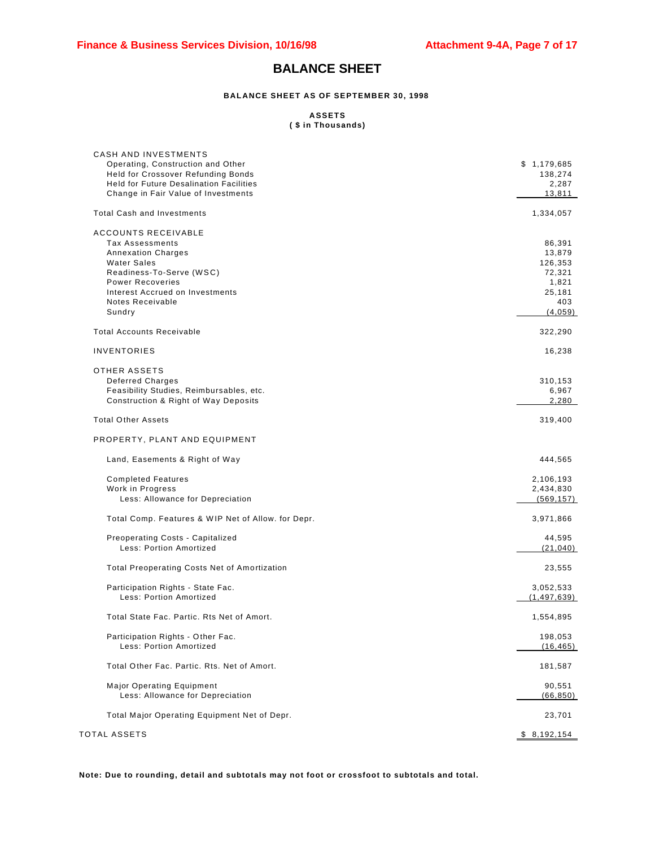# **BALANCE SHEET**

#### **BALANCE SHEET AS OF SEPTEMBER 30, 1998**

#### **ASSETS ( \$ in Thousands)**

| <b>CASH AND INVESTMENTS</b>                                          |                     |
|----------------------------------------------------------------------|---------------------|
| Operating, Construction and Other                                    | \$1,179,685         |
| Held for Crossover Refunding Bonds                                   | 138,274             |
| <b>Held for Future Desalination Facilities</b>                       | 2,287               |
| Change in Fair Value of Investments                                  | 13,811              |
| <b>Total Cash and Investments</b>                                    | 1,334,057           |
| <b>ACCOUNTS RECEIVABLE</b>                                           |                     |
| Tax Assessments                                                      | 86,391              |
| <b>Annexation Charges</b>                                            | 13,879              |
| <b>Water Sales</b>                                                   | 126,353             |
| Readiness-To-Serve (WSC)                                             | 72,321              |
| <b>Power Recoveries</b>                                              | 1,821               |
| Interest Accrued on Investments                                      | 25,181              |
| Notes Receivable                                                     | 403                 |
| Sundry                                                               | (4,059)             |
| <b>Total Accounts Receivable</b>                                     | 322,290             |
| <b>INVENTORIES</b>                                                   | 16,238              |
| OTHER ASSETS                                                         |                     |
| <b>Deferred Charges</b>                                              | 310,153             |
| Feasibility Studies, Reimbursables, etc.                             | 6,967               |
| Construction & Right of Way Deposits                                 | 2,280               |
| <b>Total Other Assets</b>                                            | 319,400             |
| PROPERTY, PLANT AND EQUIPMENT                                        |                     |
| Land, Easements & Right of Way                                       | 444,565             |
| <b>Completed Features</b>                                            | 2,106,193           |
| Work in Progress                                                     | 2,434,830           |
| Less: Allowance for Depreciation                                     | (569, 157)          |
|                                                                      |                     |
| Total Comp. Features & WIP Net of Allow. for Depr.                   | 3,971,866           |
| Preoperating Costs - Capitalized                                     | 44,595              |
| Less: Portion Amortized                                              | (21, 040)           |
| <b>Total Preoperating Costs Net of Amortization</b>                  | 23,555              |
| Participation Rights - State Fac.                                    | 3,052,533           |
| Less: Portion Amortized                                              | (1, 497, 639)       |
|                                                                      |                     |
| Total State Fac. Partic. Rts Net of Amort.                           | 1,554,895           |
| Participation Rights - Other Fac.                                    | 198,053             |
| Less: Portion Amortized                                              | (16, 465)           |
| Total Other Fac. Partic. Rts. Net of Amort.                          | 181,587             |
|                                                                      |                     |
| <b>Major Operating Equipment</b><br>Less: Allowance for Depreciation | 90,551<br>(66, 850) |
|                                                                      |                     |
| Total Major Operating Equipment Net of Depr.                         | 23,701              |
|                                                                      |                     |
| TOTAL ASSETS                                                         | \$8,192,154         |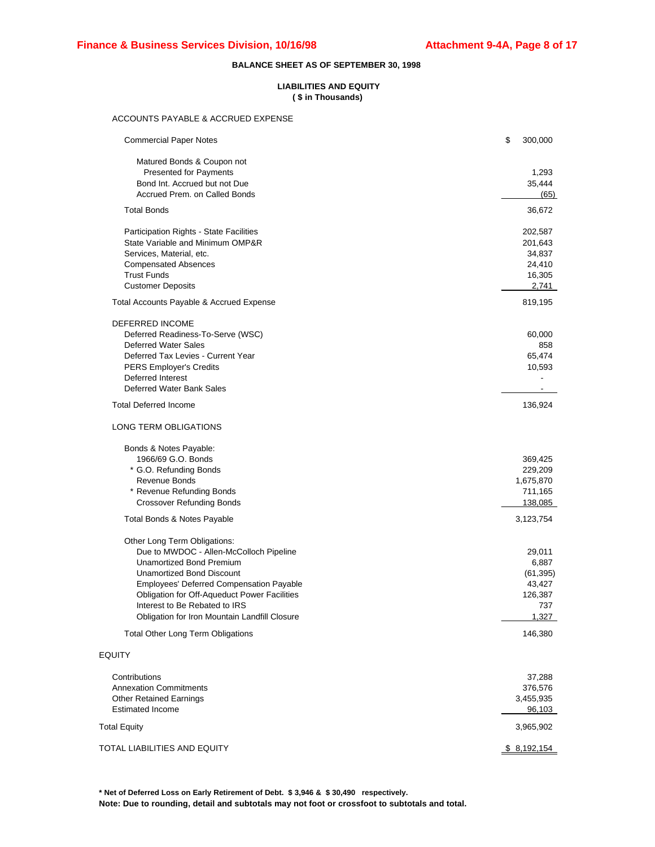#### **BALANCE SHEET AS OF SEPTEMBER 30, 1998**

#### **LIABILITIES AND EQUITY ( \$ in Thousands)**

#### ACCOUNTS PAYABLE & ACCRUED EXPENSE

| <b>Commercial Paper Notes</b>                                                                                                                                                                                                                                                                                         | \$<br>300,000                                                     |
|-----------------------------------------------------------------------------------------------------------------------------------------------------------------------------------------------------------------------------------------------------------------------------------------------------------------------|-------------------------------------------------------------------|
| Matured Bonds & Coupon not<br><b>Presented for Payments</b><br>Bond Int. Accrued but not Due<br>Accrued Prem. on Called Bonds                                                                                                                                                                                         | 1,293<br>35,444<br>(65)                                           |
| <b>Total Bonds</b>                                                                                                                                                                                                                                                                                                    | 36,672                                                            |
| Participation Rights - State Facilities<br>State Variable and Minimum OMP&R<br>Services, Material, etc.<br><b>Compensated Absences</b><br><b>Trust Funds</b><br><b>Customer Deposits</b>                                                                                                                              | 202,587<br>201,643<br>34,837<br>24,410<br>16,305<br>2,741         |
| Total Accounts Payable & Accrued Expense                                                                                                                                                                                                                                                                              | 819,195                                                           |
| DEFERRED INCOME<br>Deferred Readiness-To-Serve (WSC)<br><b>Deferred Water Sales</b><br>Deferred Tax Levies - Current Year<br><b>PERS Employer's Credits</b><br>Deferred Interest<br>Deferred Water Bank Sales                                                                                                         | 60,000<br>858<br>65,474<br>10,593                                 |
| <b>Total Deferred Income</b>                                                                                                                                                                                                                                                                                          | 136,924                                                           |
| LONG TERM OBLIGATIONS                                                                                                                                                                                                                                                                                                 |                                                                   |
| Bonds & Notes Payable:<br>1966/69 G.O. Bonds<br>* G.O. Refunding Bonds<br>Revenue Bonds<br>* Revenue Refunding Bonds<br><b>Crossover Refunding Bonds</b>                                                                                                                                                              | 369,425<br>229,209<br>1,675,870<br>711,165<br>138,085             |
| Total Bonds & Notes Payable                                                                                                                                                                                                                                                                                           | 3,123,754                                                         |
| Other Long Term Obligations:<br>Due to MWDOC - Allen-McColloch Pipeline<br><b>Unamortized Bond Premium</b><br>Unamortized Bond Discount<br>Employees' Deferred Compensation Payable<br>Obligation for Off-Aqueduct Power Facilities<br>Interest to Be Rebated to IRS<br>Obligation for Iron Mountain Landfill Closure | 29,011<br>6,887<br>(61, 395)<br>43,427<br>126,387<br>737<br>1,327 |
| <b>Total Other Long Term Obligations</b>                                                                                                                                                                                                                                                                              | 146,380                                                           |
| <b>EQUITY</b>                                                                                                                                                                                                                                                                                                         |                                                                   |
| Contributions<br><b>Annexation Commitments</b><br><b>Other Retained Earnings</b><br><b>Estimated Income</b>                                                                                                                                                                                                           | 37,288<br>376,576<br>3,455,935<br>96,103                          |
| <b>Total Equity</b>                                                                                                                                                                                                                                                                                                   | 3,965,902                                                         |
| TOTAL LIABILITIES AND EQUITY                                                                                                                                                                                                                                                                                          | \$8,192,154                                                       |

**\* Net of Deferred Loss on Early Retirement of Debt. \$ 3,946 & \$ 30,490 respectively. Note: Due to rounding, detail and subtotals may not foot or crossfoot to subtotals and total.**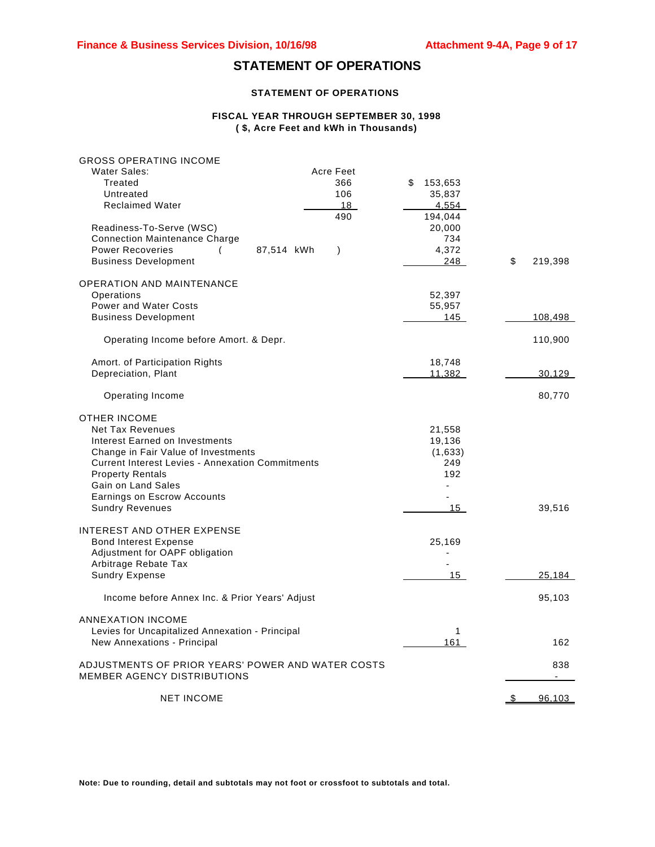# **STATEMENT OF OPERATIONS**

#### **STATEMENT OF OPERATIONS**

#### **FISCAL YEAR THROUGH SEPTEMBER 30, 1998 ( \$, Acre Feet and kWh in Thousands)**

| <b>GROSS OPERATING INCOME</b><br>Water Sales:<br>Treated<br>Untreated<br><b>Reclaimed Water</b>                                                                                                                                                                                              | Acre Feet<br>366<br>106<br>18      | \$<br>153,653<br>35,837<br>4,554                                   |               |
|----------------------------------------------------------------------------------------------------------------------------------------------------------------------------------------------------------------------------------------------------------------------------------------------|------------------------------------|--------------------------------------------------------------------|---------------|
| Readiness-To-Serve (WSC)<br><b>Connection Maintenance Charge</b><br><b>Power Recoveries</b><br>(<br><b>Business Development</b>                                                                                                                                                              | 490<br>87,514 kWh<br>$\mathcal{E}$ | 194,044<br>20,000<br>734<br>4,372<br>248                           | \$<br>219,398 |
| <b>OPERATION AND MAINTENANCE</b><br>Operations<br><b>Power and Water Costs</b><br><b>Business Development</b>                                                                                                                                                                                |                                    | 52,397<br>55,957<br>145                                            | 108,498       |
| Operating Income before Amort. & Depr.                                                                                                                                                                                                                                                       |                                    |                                                                    | 110,900       |
| Amort. of Participation Rights<br>Depreciation, Plant                                                                                                                                                                                                                                        |                                    | 18,748<br>11,382                                                   | 30,129        |
| Operating Income                                                                                                                                                                                                                                                                             |                                    |                                                                    | 80,770        |
| <b>OTHER INCOME</b><br><b>Net Tax Revenues</b><br>Interest Earned on Investments<br>Change in Fair Value of Investments<br><b>Current Interest Levies - Annexation Commitments</b><br><b>Property Rentals</b><br>Gain on Land Sales<br>Earnings on Escrow Accounts<br><b>Sundry Revenues</b> |                                    | 21,558<br>19,136<br>(1,633)<br>249<br>192<br>÷,<br>15 <sup>1</sup> | 39,516        |
| <b>INTEREST AND OTHER EXPENSE</b><br><b>Bond Interest Expense</b><br>Adjustment for OAPF obligation<br>Arbitrage Rebate Tax<br><b>Sundry Expense</b>                                                                                                                                         |                                    | 25,169<br>15                                                       | <u>25,184</u> |
| Income before Annex Inc. & Prior Years' Adjust                                                                                                                                                                                                                                               |                                    |                                                                    | 95,103        |
| <b>ANNEXATION INCOME</b><br>Levies for Uncapitalized Annexation - Principal<br>New Annexations - Principal                                                                                                                                                                                   |                                    | 1<br>161                                                           | 162           |
| ADJUSTMENTS OF PRIOR YEARS' POWER AND WATER COSTS<br>MEMBER AGENCY DISTRIBUTIONS                                                                                                                                                                                                             |                                    |                                                                    | 838           |
| <b>NET INCOME</b>                                                                                                                                                                                                                                                                            |                                    |                                                                    | \$<br>96,103  |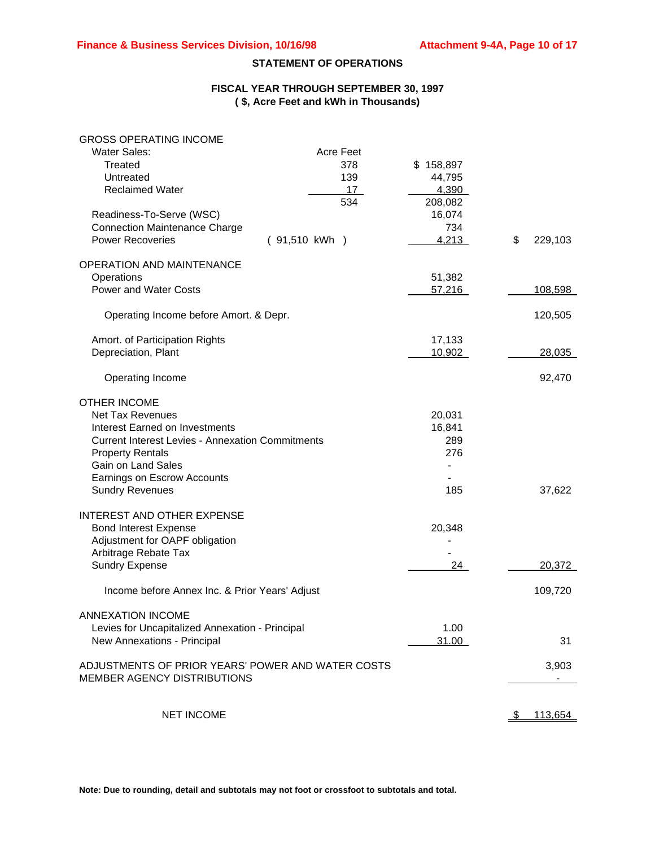### **STATEMENT OF OPERATIONS**

### **FISCAL YEAR THROUGH SEPTEMBER 30, 1997 ( \$, Acre Feet and kWh in Thousands)**

| <b>GROSS OPERATING INCOME</b>                           |                  |           |               |
|---------------------------------------------------------|------------------|-----------|---------------|
| <b>Water Sales:</b>                                     | <b>Acre Feet</b> |           |               |
| Treated                                                 | 378              | \$158,897 |               |
| Untreated                                               | 139              | 44,795    |               |
| <b>Reclaimed Water</b>                                  | 17               | 4,390     |               |
|                                                         | 534              | 208,082   |               |
| Readiness-To-Serve (WSC)                                |                  | 16,074    |               |
| <b>Connection Maintenance Charge</b>                    |                  | 734       |               |
| <b>Power Recoveries</b>                                 | (91,510 kWh)     | 4,213     | \$<br>229,103 |
|                                                         |                  |           |               |
| <b>OPERATION AND MAINTENANCE</b>                        |                  |           |               |
| Operations                                              |                  | 51,382    |               |
| <b>Power and Water Costs</b>                            |                  | 57,216    | 108,598       |
| Operating Income before Amort. & Depr.                  |                  |           | 120,505       |
|                                                         |                  |           |               |
| Amort. of Participation Rights                          |                  | 17,133    |               |
| Depreciation, Plant                                     |                  | 10,902    | 28,035        |
|                                                         |                  |           |               |
| Operating Income                                        |                  |           | 92,470        |
| <b>OTHER INCOME</b>                                     |                  |           |               |
| <b>Net Tax Revenues</b>                                 |                  | 20,031    |               |
| Interest Earned on Investments                          |                  | 16,841    |               |
| <b>Current Interest Levies - Annexation Commitments</b> |                  | 289       |               |
| <b>Property Rentals</b>                                 |                  | 276       |               |
| Gain on Land Sales                                      |                  |           |               |
| Earnings on Escrow Accounts                             |                  |           |               |
| <b>Sundry Revenues</b>                                  |                  | 185       | 37,622        |
|                                                         |                  |           |               |
| INTEREST AND OTHER EXPENSE                              |                  |           |               |
| <b>Bond Interest Expense</b>                            |                  | 20,348    |               |
| Adjustment for OAPF obligation                          |                  |           |               |
| Arbitrage Rebate Tax                                    |                  |           |               |
| <b>Sundry Expense</b>                                   |                  | 24        | 20,372        |
| Income before Annex Inc. & Prior Years' Adjust          |                  |           | 109,720       |
|                                                         |                  |           |               |
| <b>ANNEXATION INCOME</b>                                |                  |           |               |
| Levies for Uncapitalized Annexation - Principal         |                  | 1.00      |               |
| New Annexations - Principal                             |                  | 31.00     | 31            |
| ADJUSTMENTS OF PRIOR YEARS' POWER AND WATER COSTS       |                  |           | 3,903         |
| MEMBER AGENCY DISTRIBUTIONS                             |                  |           |               |
|                                                         |                  |           |               |
| <b>NET INCOME</b>                                       |                  |           | 113,654       |
|                                                         |                  |           |               |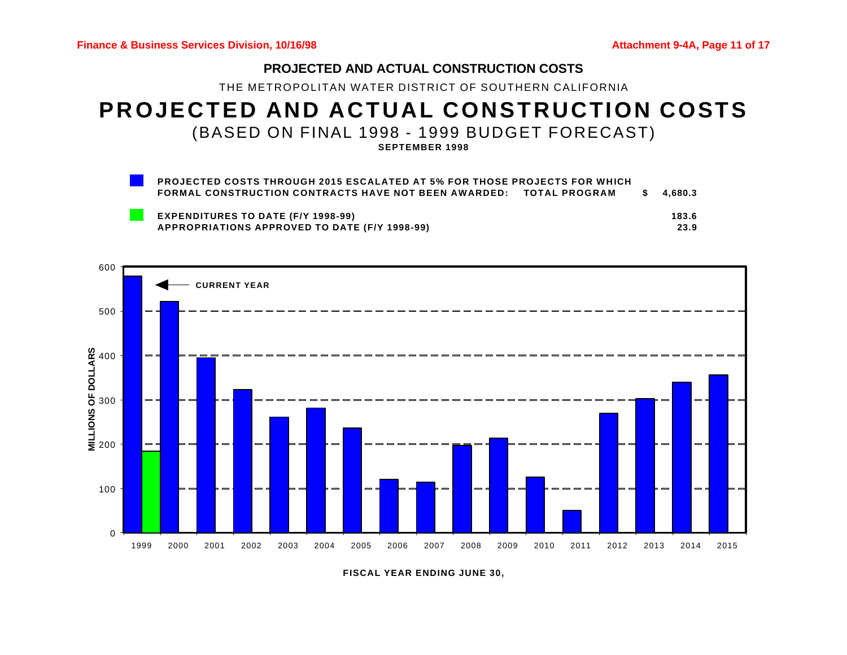# **PROJECTED AND ACTUAL CONSTRUCTION COSTS**

THE METROPOLITAN WATER DISTRICT OF SOUTHERN CALIFORNIA

# **PROJECTED AND ACTUAL CONSTRUCTION COSTS** (BASED ON FINAL 1998 - 1999 BUDGET FORECAST)

**SEPTEMBER 1998**

| <b>PROJECTED COSTS THROUGH 2015 ESCALATED AT 5% FOR THOSE PROJECTS FOR WHICH</b> |           |
|----------------------------------------------------------------------------------|-----------|
| FORMAL CONSTRUCTION CONTRACTS HAVE NOT BEEN AWARDED: TOTAL PROGRAM               | \$4.680.3 |
| <b>EXPENDITURES TO DATE (F/Y 1998-99)</b>                                        | 183.6     |
| <b>APPROPRIATIONS APPROVED TO DATE (F/Y 1998-99)</b>                             | 23.9      |



**FISCAL YEAR ENDING JUNE 30,**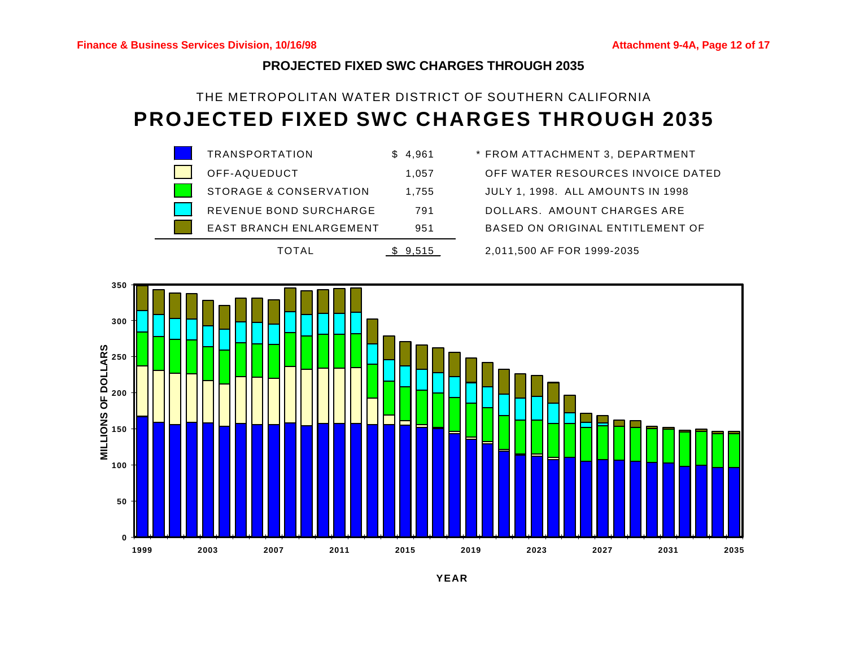# **PROJECTED FIXED SWC CHARGES THROUGH 2035**

# THE METROPOLITAN WATER DISTRICT OF SOUTHERN CALIFORNIA **PROJECTED FIXED SWC CHARGES THROUGH 2035**



OFF-AQUEDUCT 1,057 OFF WATER RESOURCES INVOICE DATED



**YEAR**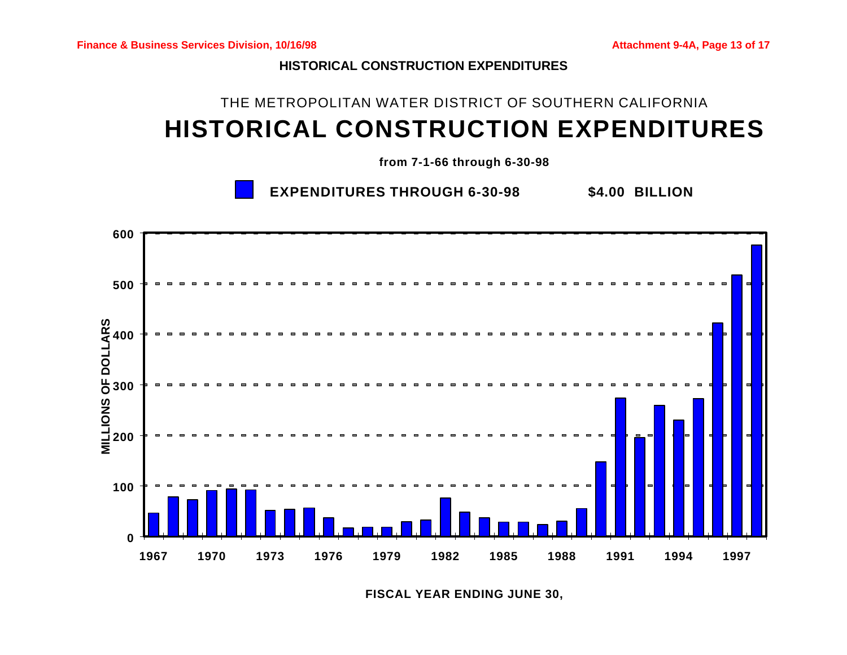**HISTORICAL CONSTRUCTION EXPENDITURES**

# THE METROPOLITAN WATER DISTRICT OF SOUTHERN CALIFORNIA **HISTORICAL CONSTRUCTION EXPENDITURES**

**from 7-1-66 through 6-30-98**

**EXPENDITURES THROUGH 6-30-98 \$4.00 BILLION**



**FISCAL YEAR ENDING JUNE 30,**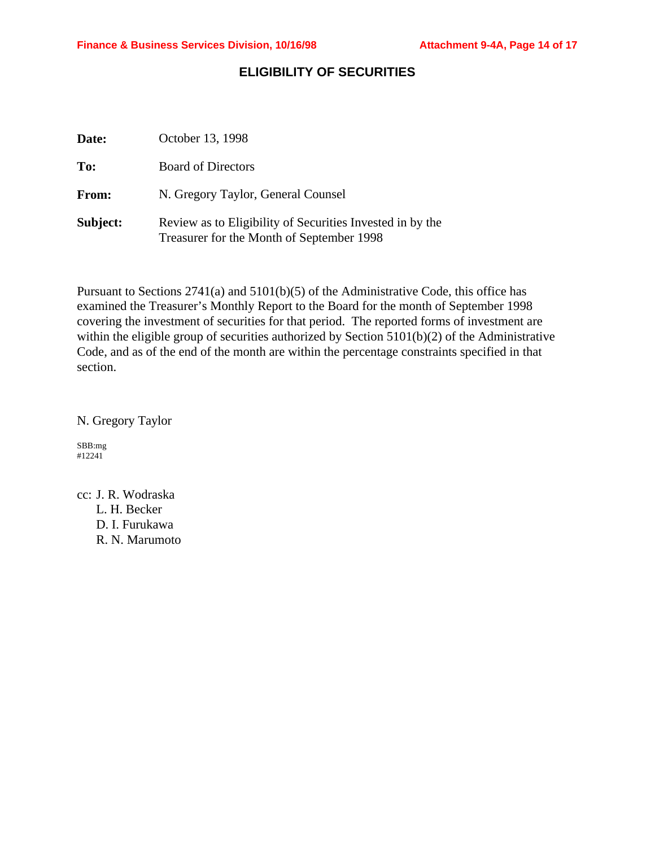# **ELIGIBILITY OF SECURITIES**

| Date:    | October 13, 1998                                                                                       |
|----------|--------------------------------------------------------------------------------------------------------|
| To:      | <b>Board of Directors</b>                                                                              |
| From:    | N. Gregory Taylor, General Counsel                                                                     |
| Subject: | Review as to Eligibility of Securities Invested in by the<br>Treasurer for the Month of September 1998 |

Pursuant to Sections 2741(a) and 5101(b)(5) of the Administrative Code, this office has examined the Treasurer's Monthly Report to the Board for the month of September 1998 covering the investment of securities for that period. The reported forms of investment are within the eligible group of securities authorized by Section 5101(b)(2) of the Administrative Code, and as of the end of the month are within the percentage constraints specified in that section.

N. Gregory Taylor

SBB:mg #12241

cc: J. R. Wodraska L. H. Becker D. I. Furukawa R. N. Marumoto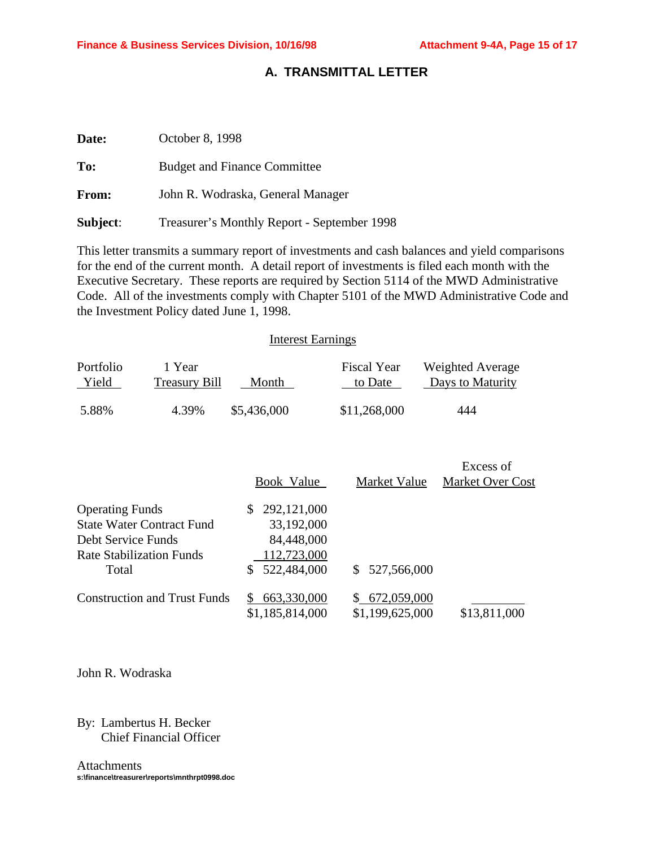# **A. TRANSMITTAL LETTER**

| Date:        | October 8, 1998                             |
|--------------|---------------------------------------------|
| To:          | <b>Budget and Finance Committee</b>         |
| <b>From:</b> | John R. Wodraska, General Manager           |
| Subject:     | Treasurer's Monthly Report - September 1998 |

This letter transmits a summary report of investments and cash balances and yield comparisons for the end of the current month. A detail report of investments is filed each month with the Executive Secretary. These reports are required by Section 5114 of the MWD Administrative Code. All of the investments comply with Chapter 5101 of the MWD Administrative Code and the Investment Policy dated June 1, 1998.

#### Interest Earnings

| Portfolio | 1 Year               | Month       | <b>Fiscal Year</b> | Weighted Average |
|-----------|----------------------|-------------|--------------------|------------------|
| Yield     | <b>Treasury Bill</b> |             | to Date            | Days to Maturity |
| 5.88%     | 4.39%                | \$5,436,000 | \$11,268,000       | 444              |

|                                     |                 |                 | Excess of               |
|-------------------------------------|-----------------|-----------------|-------------------------|
|                                     | Book Value      | Market Value    | <b>Market Over Cost</b> |
| <b>Operating Funds</b>              | 292,121,000     |                 |                         |
| <b>State Water Contract Fund</b>    | 33,192,000      |                 |                         |
| Debt Service Funds                  | 84,448,000      |                 |                         |
| Rate Stabilization Funds            | 112,723,000     |                 |                         |
| Total                               | 522,484,000     | \$527,566,000   |                         |
| <b>Construction and Trust Funds</b> | 663,330,000     | 672,059,000     |                         |
|                                     | \$1,185,814,000 | \$1,199,625,000 | \$13,811,000            |

John R. Wodraska

# By: Lambertus H. Becker Chief Financial Officer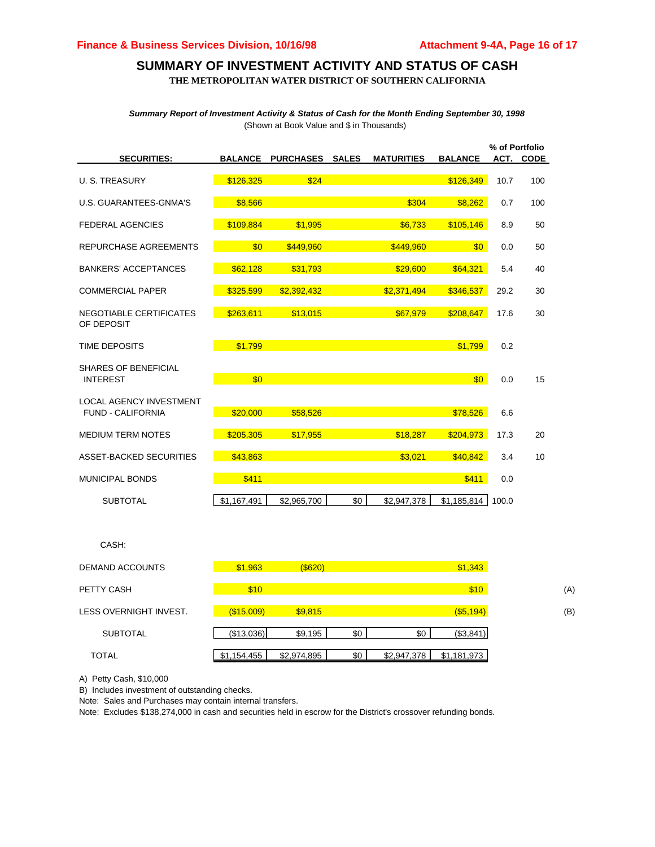# **SUMMARY OF INVESTMENT ACTIVITY AND STATUS OF CASH**

**THE METROPOLITAN WATER DISTRICT OF SOUTHERN CALIFORNIA**

*Summary Report of Investment Activity & Status of Cash for the Month Ending September 30, 1998* (Shown at Book Value and \$ in Thousands)

| <b>SECURITIES:</b>                      | <b>BALANCE</b> | PURCHASES SALES |     | <b>MATURITIES</b> | <b>BALANCE</b> | % of Portfolio | ACT. CODE |
|-----------------------------------------|----------------|-----------------|-----|-------------------|----------------|----------------|-----------|
|                                         |                |                 |     |                   |                |                |           |
| U. S. TREASURY                          | \$126,325      | \$24            |     |                   | \$126,349      | 10.7           | 100       |
| U.S. GUARANTEES-GNMA'S                  | \$8,566        |                 |     | \$304             | \$8,262        | 0.7            | 100       |
| <b>FEDERAL AGENCIES</b>                 | \$109,884      | \$1,995         |     | \$6,733           | \$105,146      | 8.9            | 50        |
| REPURCHASE AGREEMENTS                   | \$0            | \$449,960       |     | \$449,960         | \$0            | 0.0            | 50        |
| <b>BANKERS' ACCEPTANCES</b>             | \$62,128       | \$31,793        |     | \$29,600          | \$64,321       | 5.4            | 40        |
| <b>COMMERCIAL PAPER</b>                 | \$325,599      | \$2,392,432     |     | \$2,371,494       | \$346,537      | 29.2           | 30        |
| NEGOTIABLE CERTIFICATES<br>OF DEPOSIT   | \$263,611      | \$13,015        |     | \$67,979          | \$208,647      | 17.6           | 30        |
| <b>TIME DEPOSITS</b>                    | \$1,799        |                 |     |                   | \$1,799        | 0.2            |           |
| SHARES OF BENEFICIAL<br><b>INTEREST</b> | \$0            |                 |     |                   | \$0            | 0.0            | 15        |
| <b>LOCAL AGENCY INVESTMENT</b>          |                |                 |     |                   |                |                |           |
| <b>FUND - CALIFORNIA</b>                | \$20,000       | \$58,526        |     |                   | \$78,526       | 6.6            |           |
| <b>MEDIUM TERM NOTES</b>                | \$205,305      | \$17,955        |     | \$18,287          | \$204,973      | 17.3           | 20        |
| ASSET-BACKED SECURITIES                 | \$43,863       |                 |     | \$3,021           | \$40,842       | 3.4            | 10        |
| <b>MUNICIPAL BONDS</b>                  | \$411          |                 |     |                   | \$411          | 0.0            |           |
| <b>SUBTOTAL</b>                         | \$1,167,491    | \$2,965,700     | \$0 | \$2,947,378       | \$1,185,814    | 100.0          |           |
|                                         |                |                 |     |                   |                |                |           |

| DEMAND ACCOUNTS        | \$1,963       | $($ \$620)  |     |             | \$1,343      |     |
|------------------------|---------------|-------------|-----|-------------|--------------|-----|
| PETTY CASH             | \$10          |             |     |             | \$10         | (A) |
| LESS OVERNIGHT INVEST. | $($ \$15,009) | \$9,815     |     |             | $($ \$5,194) | (B) |
| <b>SUBTOTAL</b>        | (\$13,036)    | \$9,195     | \$0 | \$0         | (\$3,841)    |     |
| <b>TOTAL</b>           | \$1,154,455   | \$2,974,895 | \$0 | \$2,947,378 | \$1,181,973  |     |

A) Petty Cash, \$10,000

CASH:

B) Includes investment of outstanding checks.

Note: Sales and Purchases may contain internal transfers.

Note: Excludes \$138,274,000 in cash and securities held in escrow for the District's crossover refunding bonds.